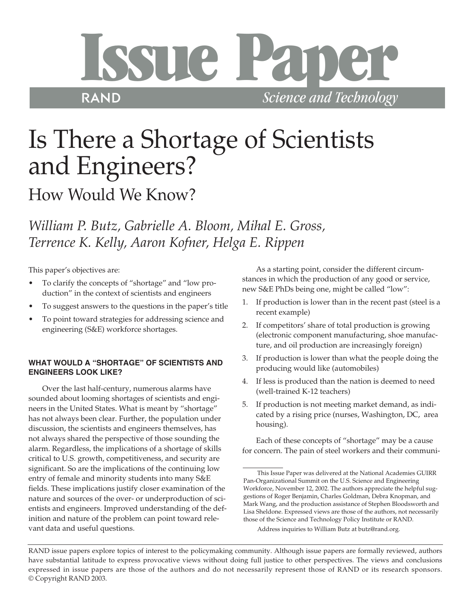

# Is There a Shortage of Scientists and Engineers?

How Would We Know?

*William P. Butz, Gabrielle A. Bloom, Mihal E. Gross, Terrence K. Kelly, Aaron Kofner, Helga E. Rippen*

This paper's objectives are:

- To clarify the concepts of "shortage" and "low production" in the context of scientists and engineers
- To suggest answers to the questions in the paper's title
- To point toward strategies for addressing science and engineering (S&E) workforce shortages.

# **WHAT WOULD A "SHORTAGE" OF SCIENTISTS AND ENGINEERS LOOK LIKE?**

Over the last half-century, numerous alarms have sounded about looming shortages of scientists and engineers in the United States. What is meant by "shortage" has not always been clear. Further, the population under discussion, the scientists and engineers themselves, has not always shared the perspective of those sounding the alarm. Regardless, the implications of a shortage of skills critical to U.S. growth, competitiveness, and security are significant. So are the implications of the continuing low entry of female and minority students into many S&E fields. These implications justify closer examination of the nature and sources of the over- or underproduction of scientists and engineers. Improved understanding of the definition and nature of the problem can point toward relevant data and useful questions.

As a starting point, consider the different circumstances in which the production of any good or service, new S&E PhDs being one, might be called "low":

- If production is lower than in the recent past (steel is a recent example)
- 2. If competitors' share of total production is growing (electronic component manufacturing, shoe manufacture, and oil production are increasingly foreign)
- 3. If production is lower than what the people doing the producing would like (automobiles)
- 4. If less is produced than the nation is deemed to need (well-trained K-12 teachers)
- 5. If production is not meeting market demand, as indicated by a rising price (nurses, Washington, DC, area housing).

Each of these concepts of "shortage" may be a cause for concern. The pain of steel workers and their communi-

Address inquiries to William Butz at butz@rand.org.

RAND issue papers explore topics of interest to the policymaking community. Although issue papers are formally reviewed, authors have substantial latitude to express provocative views without doing full justice to other perspectives. The views and conclusions expressed in issue papers are those of the authors and do not necessarily represent those of RAND or its research sponsors. © Copyright RAND 2003.

This Issue Paper was delivered at the National Academies GUIRR Pan-Organizational Summit on the U.S. Science and Engineering Workforce, November 12, 2002. The authors appreciate the helpful suggestions of Roger Benjamin, Charles Goldman, Debra Knopman, and Mark Wang, and the production assistance of Stephen Bloodsworth and Lisa Sheldone. Expressed views are those of the authors, not necessarily those of the Science and Technology Policy Institute or RAND.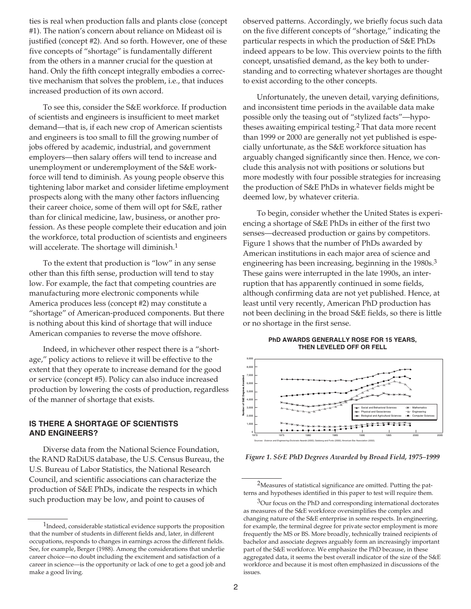ties is real when production falls and plants close (concept #1). The nation's concern about reliance on Mideast oil is justified (concept #2). And so forth. However, one of these five concepts of "shortage" is fundamentally different from the others in a manner crucial for the question at hand. Only the fifth concept integrally embodies a corrective mechanism that solves the problem, i.e., that induces increased production of its own accord.

To see this, consider the S&E workforce. If production of scientists and engineers is insufficient to meet market demand—that is, if each new crop of American scientists and engineers is too small to fill the growing number of jobs offered by academic, industrial, and government employers—then salary offers will tend to increase and unemployment or underemployment of the S&E workforce will tend to diminish. As young people observe this tightening labor market and consider lifetime employment prospects along with the many other factors influencing their career choice, some of them will opt for S&E, rather than for clinical medicine, law, business, or another profession. As these people complete their education and join the workforce, total production of scientists and engineers will accelerate. The shortage will diminish.<sup>1</sup>

To the extent that production is "low" in any sense other than this fifth sense, production will tend to stay low. For example, the fact that competing countries are manufacturing more electronic components while America produces less (concept #2) may constitute a "shortage" of American-produced components. But there is nothing about this kind of shortage that will induce American companies to reverse the move offshore.

Indeed, in whichever other respect there is a "shortage," policy actions to relieve it will be effective to the extent that they operate to increase demand for the good or service (concept #5). Policy can also induce increased production by lowering the costs of production, regardless of the manner of shortage that exists.

## **IS THERE A SHORTAGE OF SCIENTISTS AND ENGINEERS?**

Diverse data from the National Science Foundation, the RAND RaDiUS database, the U.S. Census Bureau, the U.S. Bureau of Labor Statistics, the National Research Council, and scientific associations can characterize the production of S&E PhDs, indicate the respects in which such production may be low, and point to causes of

observed patterns. Accordingly, we briefly focus such data on the five different concepts of "shortage," indicating the particular respects in which the production of S&E PhDs indeed appears to be low. This overview points to the fifth concept, unsatisfied demand, as the key both to understanding and to correcting whatever shortages are thought to exist according to the other concepts.

Unfortunately, the uneven detail, varying definitions, and inconsistent time periods in the available data make possible only the teasing out of "stylized facts"—hypotheses awaiting empirical testing.2 That data more recent than 1999 or 2000 are generally not yet published is especially unfortunate, as the S&E workforce situation has arguably changed significantly since then. Hence, we conclude this analysis not with positions or solutions but more modestly with four possible strategies for increasing the production of S&E PhDs in whatever fields might be deemed low, by whatever criteria.

To begin, consider whether the United States is experiencing a shortage of S&E PhDs in either of the first two senses—decreased production or gains by competitors. Figure 1 shows that the number of PhDs awarded by American institutions in each major area of science and engineering has been increasing, beginning in the 1980s.<sup>3</sup> These gains were interrupted in the late 1990s, an interruption that has apparently continued in some fields, although confirming data are not yet published. Hence, at least until very recently, American PhD production has not been declining in the broad S&E fields, so there is little or no shortage in the first sense.

#### **PhD AWARDS GENERALLY ROSE FOR 15 YEARS, THEN LEVELED OFF OR FELL**



*Figure 1. S&E PhD Degrees Awarded by Broad Field, 1975–1999*

<sup>&</sup>lt;sup>1</sup>Indeed, considerable statistical evidence supports the proposition that the number of students in different fields and, later, in different occupations, responds to changes in earnings across the different fields. See, for example, Berger (1988). Among the considerations that underlie career choice—no doubt including the excitement and satisfaction of a career in science—is the opportunity or lack of one to get a good job and make a good living.

<sup>2</sup>Measures of statistical significance are omitted. Putting the patterns and hypotheses identified in this paper to test will require them.

 $3$ Our focus on the PhD and corresponding international doctorates as measures of the S&E workforce oversimplifies the complex and changing nature of the S&E enterprise in some respects. In engineering, for example, the terminal degree for private sector employment is more frequently the MS or BS. More broadly, technically trained recipients of bachelor and associate degrees arguably form an increasingly important part of the S&E workforce. We emphasize the PhD because, in these aggregated data, it seems the best overall indicator of the size of the S&E workforce and because it is most often emphasized in discussions of the issues.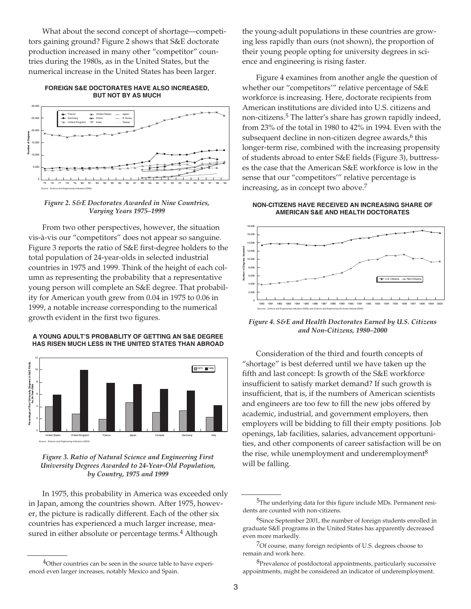What about the second concept of shortage—competitors gaining ground? Figure 2 shows that S&E doctorate production increased in many other "competitor" countries during the 1980s, as in the United States, but the numerical increase in the United States has been larger.

**FOREIGN S&E DOCTORATES HAVE ALSO INCREASED, BUT NOT BY AS MUCH**



*Figure 2. S&E Doctorates Awarded in Nine Countries, Varying Years 1975–1999*

From two other perspectives, however, the situation vis-à-vis our "competitors" does not appear so sanguine. Figure 3 reports the ratio of S&E first-degree holders to the total population of 24-year-olds in selected industrial countries in 1975 and 1999. Think of the height of each column as representing the probability that a representative young person will complete an S&E degree. That probability for American youth grew from 0.04 in 1975 to 0.06 in 1999, a notable increase corresponding to the numerical growth evident in the first two figures.

#### **A YOUNG ADULT'S PROBABLITY OF GETTING AN S&E DEGREE HAS RISEN MUCH LESS IN THE UNITED STATES THAN ABROAD**



*Figure 3. Ratio of Natural Science and Engineering First University Degrees Awarded to 24-Year-Old Population, by Country, 1975 and 1999*

In 1975, this probability in America was exceeded only in Japan, among the countries shown. After 1975, however, the picture is radically different. Each of the other six countries has experienced a much larger increase, measured in either absolute or percentage terms.<sup>4</sup> Although

the young-adult populations in these countries are growing less rapidly than ours (not shown), the proportion of their young people opting for university degrees in science and engineering is rising faster.

Figure 4 examines from another angle the question of whether our "competitors'" relative percentage of S&E workforce is increasing. Here, doctorate recipients from American institutions are divided into U.S. citizens and non-citizens.<sup>5</sup> The latter's share has grown rapidly indeed, from 23% of the total in 1980 to 42% in 1994. Even with the subsequent decline in non-citizen degree awards, $6$  this longer-term rise, combined with the increasing propensity of students abroad to enter S&E fields (Figure 3), buttresses the case that the American S&E workforce is low in the sense that our "competitors'" relative percentage is increasing, as in concept two above.7

#### **NON-CITIZENS HAVE RECEIVED AN INCREASING SHARE OF AMERICAN S&E AND HEALTH DOCTORATES**



*Figure 4. S&E and Health Doctorates Earned by U.S. Citizens and Non-Citizens, 1980–2000*

Consideration of the third and fourth concepts of "shortage" is best deferred until we have taken up the fifth and last concept: Is growth of the S&E workforce insufficient to satisfy market demand? If such growth is insufficient, that is, if the numbers of American scientists and engineers are too few to fill the new jobs offered by academic, industrial, and government employers, then employers will be bidding to fill their empty positions. Job openings, lab facilities, salaries, advancement opportunities, and other components of career satisfaction will be on the rise, while unemployment and underemployment<sup>8</sup> will be falling.

<sup>4</sup>Other countries can be seen in the source table to have experienced even larger increases, notably Mexico and Spain.

<sup>5</sup>The underlying data for this figure include MDs. Permanent residents are counted with non-citizens.

<sup>&</sup>lt;sup>6</sup>Since September 2001, the number of foreign students enrolled in graduate S&E programs in the United States has apparently decreased even more markedly.

<sup>7</sup>Of course, many foreign recipients of U.S. degrees choose to remain and work here.

<sup>8</sup>Prevalence of postdoctoral appointments, particularly successive appointments, might be considered an indicator of underemployment.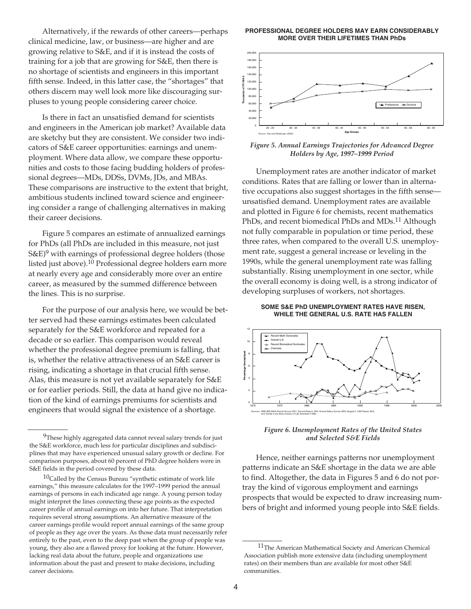Alternatively, if the rewards of other careers—perhaps clinical medicine, law, or business—are higher and are growing relative to S&E, and if it is instead the costs of training for a job that are growing for S&E, then there is no shortage of scientists and engineers in this important fifth sense. Indeed, in this latter case, the "shortages" that others discern may well look more like discouraging surpluses to young people considering career choice.

Is there in fact an unsatisfied demand for scientists and engineers in the American job market? Available data are sketchy but they are consistent. We consider two indicators of S&E career opportunities: earnings and unemployment. Where data allow, we compare these opportunities and costs to those facing budding holders of professional degrees—MDs, DDSs, DVMs, JDs, and MBAs. These comparisons are instructive to the extent that bright, ambitious students inclined toward science and engineering consider a range of challenging alternatives in making their career decisions.

Figure 5 compares an estimate of annualized earnings for PhDs (all PhDs are included in this measure, not just S&E)<sup>9</sup> with earnings of professional degree holders (those listed just above).10 Professional degree holders earn more at nearly every age and considerably more over an entire career, as measured by the summed difference between the lines. This is no surprise.

For the purpose of our analysis here, we would be better served had these earnings estimates been calculated separately for the S&E workforce and repeated for a decade or so earlier. This comparison would reveal whether the professional degree premium is falling, that is, whether the relative attractiveness of an S&E career is rising, indicating a shortage in that crucial fifth sense. Alas, this measure is not yet available separately for S&E or for earlier periods. Still, the data at hand give no indication of the kind of earnings premiums for scientists and engineers that would signal the existence of a shortage.

**PROFESSIONAL DEGREE HOLDERS MAY EARN CONSIDERABLY MORE OVER THEIR LIFETIMES THAN PhDs**



*Figure 5. Annual Earnings Trajectories for Advanced Degree Holders by Age, 1997–1999 Period*

Unemployment rates are another indicator of market conditions. Rates that are falling or lower than in alternative occupations also suggest shortages in the fifth sense unsatisfied demand. Unemployment rates are available and plotted in Figure 6 for chemists, recent mathematics PhDs, and recent biomedical PhDs and MDs.<sup>11</sup> Although not fully comparable in population or time period, these three rates, when compared to the overall U.S. unemployment rate, suggest a general increase or leveling in the 1990s, while the general unemployment rate was falling substantially. Rising unemployment in one sector, while the overall economy is doing well, is a strong indicator of developing surpluses of workers, not shortages.

**SOME S&E PhD UNEMPLOYMENT RATES HAVE RISEN, WHILE THE GENERAL U.S. RATE HAS FALLEN**



*Figure 6. Unemployment Rates of the United States and Selected S&E Fields*

Hence, neither earnings patterns nor unemployment patterns indicate an S&E shortage in the data we are able to find. Altogether, the data in Figures 5 and 6 do not portray the kind of vigorous employment and earnings prospects that would be expected to draw increasing numbers of bright and informed young people into S&E fields.

 $9$ These highly aggregated data cannot reveal salary trends for just the S&E workforce, much less for particular disciplines and subdisciplines that may have experienced unusual salary growth or decline. For comparison purposes, about 60 percent of PhD degree holders were in S&E fields in the period covered by these data.

 $10$ Called by the Census Bureau "synthetic estimate of work life earnings," this measure calculates for the 1997–1999 period the annual earnings of persons in each indicated age range. A young person today might interpret the lines connecting these age points as the expected career profile of annual earnings on into her future. That interpretation requires several strong assumptions. An alternative measure of the career earnings profile would report annual earnings of the same group of people as they age over the years. As those data must necessarily refer entirely to the past, even to the deep past when the group of people was young, they also are a flawed proxy for looking at the future. However, lacking real data about the future, people and organizations use information about the past and present to make decisions, including career decisions.

<sup>11&</sup>lt;sub>The American Mathematical Society and American Chemical</sub> Association publish more extensive data (including unemployment rates) on their members than are available for most other S&E communities.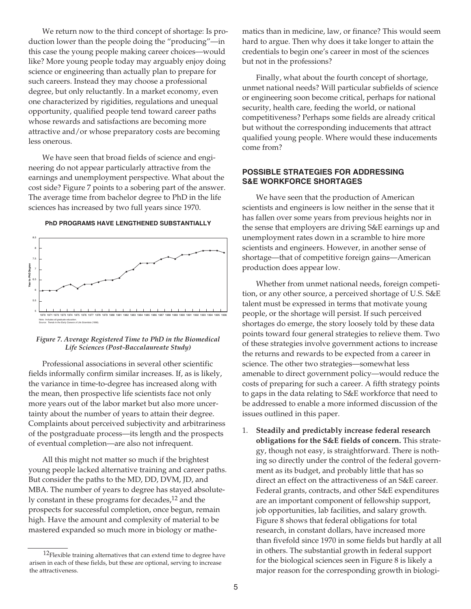We return now to the third concept of shortage: Is production lower than the people doing the "producing"—in this case the young people making career choices—would like? More young people today may arguably enjoy doing science or engineering than actually plan to prepare for such careers. Instead they may choose a professional degree, but only reluctantly. In a market economy, even one characterized by rigidities, regulations and unequal opportunity, qualified people tend toward career paths whose rewards and satisfactions are becoming more attractive and/or whose preparatory costs are becoming less onerous.

We have seen that broad fields of science and engineering do not appear particularly attractive from the earnings and unemployment perspective. What about the cost side? Figure 7 points to a sobering part of the answer. The average time from bachelor degree to PhD in the life sciences has increased by two full years since 1970.





### *Figure 7. Average Registered Time to PhD in the Biomedical Life Sciences (Post-Baccalaureate Study)*

Professional associations in several other scientific fields informally confirm similar increases. If, as is likely, the variance in time-to-degree has increased along with the mean, then prospective life scientists face not only more years out of the labor market but also more uncertainty about the number of years to attain their degree. Complaints about perceived subjectivity and arbitrariness of the postgraduate process—its length and the prospects of eventual completion—are also not infrequent.

All this might not matter so much if the brightest young people lacked alternative training and career paths. But consider the paths to the MD, DD, DVM, JD, and MBA. The number of years to degree has stayed absolutely constant in these programs for decades,<sup>12</sup> and the prospects for successful completion, once begun, remain high. Have the amount and complexity of material to be mastered expanded so much more in biology or mathematics than in medicine, law, or finance? This would seem hard to argue. Then why does it take longer to attain the credentials to begin one's career in most of the sciences but not in the professions?

Finally, what about the fourth concept of shortage, unmet national needs? Will particular subfields of science or engineering soon become critical, perhaps for national security, health care, feeding the world, or national competitiveness? Perhaps some fields are already critical but without the corresponding inducements that attract qualified young people. Where would these inducements come from?

## **POSSIBLE STRATEGIES FOR ADDRESSING S&E WORKFORCE SHORTAGES**

We have seen that the production of American scientists and engineers is low neither in the sense that it has fallen over some years from previous heights nor in the sense that employers are driving S&E earnings up and unemployment rates down in a scramble to hire more scientists and engineers. However, in another sense of shortage—that of competitive foreign gains—American production does appear low.

Whether from unmet national needs, foreign competition, or any other source, a perceived shortage of U.S. S&E talent must be expressed in terms that motivate young people, or the shortage will persist. If such perceived shortages do emerge, the story loosely told by these data points toward four general strategies to relieve them. Two of these strategies involve government actions to increase the returns and rewards to be expected from a career in science. The other two strategies—somewhat less amenable to direct government policy—would reduce the costs of preparing for such a career. A fifth strategy points to gaps in the data relating to S&E workforce that need to be addressed to enable a more informed discussion of the issues outlined in this paper.

1. **Steadily and predictably increase federal research obligations for the S&E fields of concern.** This strategy, though not easy, is straightforward. There is nothing so directly under the control of the federal government as its budget, and probably little that has so direct an effect on the attractiveness of an S&E career. Federal grants, contracts, and other S&E expenditures are an important component of fellowship support, job opportunities, lab facilities, and salary growth. Figure 8 shows that federal obligations for total research, in constant dollars, have increased more than fivefold since 1970 in some fields but hardly at all in others. The substantial growth in federal support for the biological sciences seen in Figure 8 is likely a major reason for the corresponding growth in biologi-

<sup>&</sup>lt;sup>12</sup>Flexible training alternatives that can extend time to degree have arisen in each of these fields, but these are optional, serving to increase the attractiveness.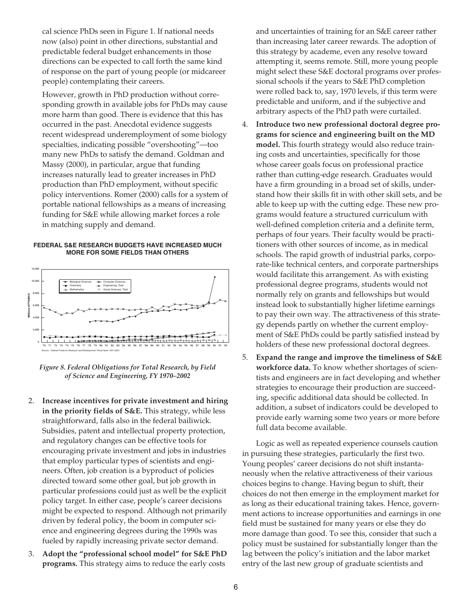cal science PhDs seen in Figure 1. If national needs now (also) point in other directions, substantial and predictable federal budget enhancements in those directions can be expected to call forth the same kind of response on the part of young people (or midcareer people) contemplating their careers.

However, growth in PhD production without corresponding growth in available jobs for PhDs may cause more harm than good. There is evidence that this has occurred in the past. Anecdotal evidence suggests recent widespread underemployment of some biology specialties, indicating possible "overshooting"—too many new PhDs to satisfy the demand. Goldman and Massy (2000), in particular, argue that funding increases naturally lead to greater increases in PhD production than PhD employment, without specific policy interventions. Romer (2000) calls for a system of portable national fellowships as a means of increasing funding for S&E while allowing market forces a role in matching supply and demand.

#### **FEDERAL S&E RESEARCH BUDGETS HAVE INCREASED MUCH MORE FOR SOME FIELDS THAN OTHERS**



*Figure 8. Federal Obligations for Total Research, by Field of Science and Engineering, FY 1970–2002*

- 2. **Increase incentives for private investment and hiring in the priority fields of S&E.** This strategy, while less straightforward, falls also in the federal bailiwick. Subsidies, patent and intellectual property protection, and regulatory changes can be effective tools for encouraging private investment and jobs in industries that employ particular types of scientists and engineers. Often, job creation is a byproduct of policies directed toward some other goal, but job growth in particular professions could just as well be the explicit policy target. In either case, people's career decisions might be expected to respond. Although not primarily driven by federal policy, the boom in computer science and engineering degrees during the 1990s was fueled by rapidly increasing private sector demand.
- 3. **Adopt the "professional school model" for S&E PhD programs.** This strategy aims to reduce the early costs

and uncertainties of training for an S&E career rather than increasing later career rewards. The adoption of this strategy by academe, even any resolve toward attempting it, seems remote. Still, more young people might select these S&E doctoral programs over professional schools if the years to S&E PhD completion were rolled back to, say, 1970 levels, if this term were predictable and uniform, and if the subjective and arbitrary aspects of the PhD path were curtailed.

- 4. **Introduce two new professional doctoral degree programs for science and engineering built on the MD model.** This fourth strategy would also reduce training costs and uncertainties, specifically for those whose career goals focus on professional practice rather than cutting-edge research. Graduates would have a firm grounding in a broad set of skills, understand how their skills fit in with other skill sets, and be able to keep up with the cutting edge. These new programs would feature a structured curriculum with well-defined completion criteria and a definite term, perhaps of four years. Their faculty would be practitioners with other sources of income, as in medical schools. The rapid growth of industrial parks, corporate-like technical centers, and corporate partnerships would facilitate this arrangement. As with existing professional degree programs, students would not normally rely on grants and fellowships but would instead look to substantially higher lifetime earnings to pay their own way. The attractiveness of this strategy depends partly on whether the current employment of S&E PhDs could be partly satisfied instead by holders of these new professional doctoral degrees.
- 5. **Expand the range and improve the timeliness of S&E workforce data.** To know whether shortages of scientists and engineers are in fact developing and whether strategies to encourage their production are succeeding, specific additional data should be collected. In addition, a subset of indicators could be developed to provide early warning some two years or more before full data become available.

Logic as well as repeated experience counsels caution in pursuing these strategies, particularly the first two. Young peoples' career decisions do not shift instantaneously when the relative attractiveness of their various choices begins to change. Having begun to shift, their choices do not then emerge in the employment market for as long as their educational training takes. Hence, government actions to increase opportunities and earnings in one field must be sustained for many years or else they do more damage than good. To see this, consider that such a policy must be sustained for substantially longer than the lag between the policy's initiation and the labor market entry of the last new group of graduate scientists and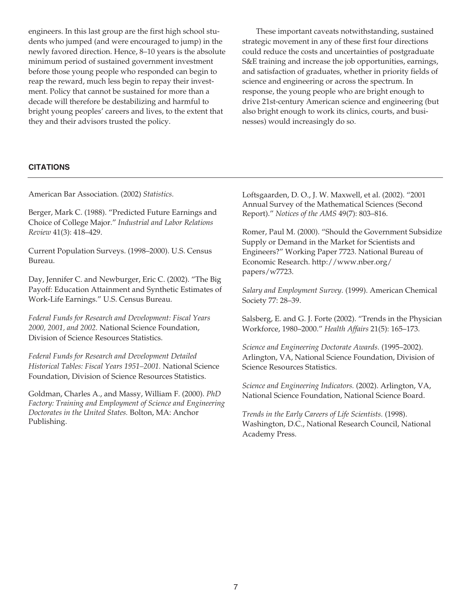engineers. In this last group are the first high school students who jumped (and were encouraged to jump) in the newly favored direction. Hence, 8–10 years is the absolute minimum period of sustained government investment before those young people who responded can begin to reap the reward, much less begin to repay their investment. Policy that cannot be sustained for more than a decade will therefore be destabilizing and harmful to bright young peoples' careers and lives, to the extent that they and their advisors trusted the policy.

These important caveats notwithstanding, sustained strategic movement in any of these first four directions could reduce the costs and uncertainties of postgraduate S&E training and increase the job opportunities, earnings, and satisfaction of graduates, whether in priority fields of science and engineering or across the spectrum. In response, the young people who are bright enough to drive 21st-century American science and engineering (but also bright enough to work its clinics, courts, and businesses) would increasingly do so.

## **CITATIONS**

American Bar Association. (2002) *Statistics.*

Berger, Mark C. (1988). "Predicted Future Earnings and Choice of College Major." *Industrial and Labor Relations Review* 41(3): 418–429.

Current Population Surveys. (1998–2000). U.S. Census Bureau.

Day, Jennifer C. and Newburger, Eric C. (2002). "The Big Payoff: Education Attainment and Synthetic Estimates of Work-Life Earnings." U.S. Census Bureau.

*Federal Funds for Research and Development: Fiscal Years 2000, 2001, and 2002.* National Science Foundation, Division of Science Resources Statistics.

*Federal Funds for Research and Development Detailed Historical Tables: Fiscal Years 1951–2001.* National Science Foundation, Division of Science Resources Statistics.

Goldman, Charles A., and Massy, William F. (2000). *PhD Factory: Training and Employment of Science and Engineering Doctorates in the United States.* Bolton, MA: Anchor Publishing.

Loftsgaarden, D. O., J. W. Maxwell, et al. (2002). "2001 Annual Survey of the Mathematical Sciences (Second Report)." *Notices of the AMS* 49(7): 803–816.

Romer, Paul M. (2000). "Should the Government Subsidize Supply or Demand in the Market for Scientists and Engineers?" Working Paper 7723. National Bureau of Economic Research. http://www.nber.org/ papers/w7723.

*Salary and Employment Survey.* (1999). American Chemical Society 77: 28–39.

Salsberg, E. and G. J. Forte (2002). "Trends in the Physician Workforce, 1980–2000." *Health Affairs* 21(5): 165–173.

*Science and Engineering Doctorate Awards.* (1995–2002). Arlington, VA, National Science Foundation, Division of Science Resources Statistics.

*Science and Engineering Indicators.* (2002). Arlington, VA, National Science Foundation, National Science Board.

*Trends in the Early Careers of Life Scientists.* (1998). Washington, D.C., National Research Council, National Academy Press.